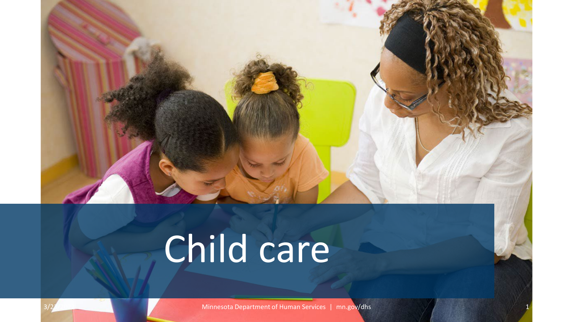

# Child care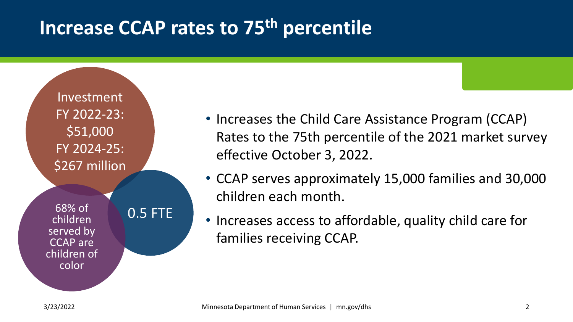#### **Increase CCAP rates to 75th percentile**

Investment FY 2022-23: \$51,000 FY 2024-25: \$267 million

children served by CCAP are children of color



- Increases the Child Care Assistance Program (CCAP) Rates to the 75th percentile of the 2021 market survey effective October 3, 2022.
- CCAP serves approximately 15,000 families and 30,000 children each month.
- Increases access to affordable, quality child care for families receiving CCAP.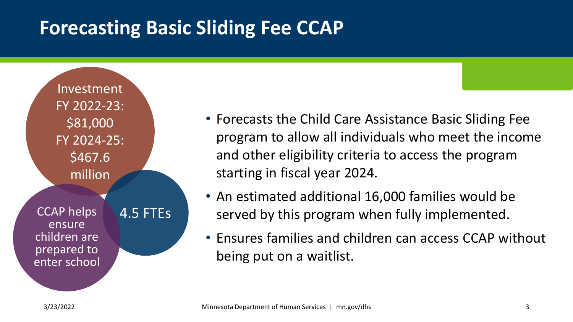### **Forecasting Basic Sliding Fee CCAP**

Investment FY 2022-23: \$81,000 FY 2024-25: \$467.6 million CCAP helps 4.5 FTEs ensure children are prepared to enter school

- Forecasts the Child Care Assistance Basic Sliding Fee program to allow all individuals who meet the income and other eligibility criteria to access the program starting in fiscal year 2024.
- An estimated additional 16,000 families would be served by this program when fully implemented.
- Ensures families and children can access CCAP without being put on a waitlist.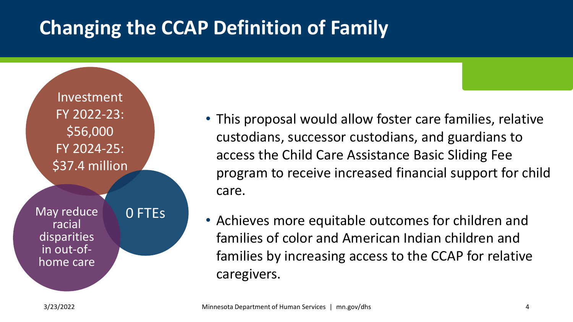# **Changing the CCAP Definition of Family**

Investment FY 2022-23: \$56,000 FY 2024-25: \$37.4 million

May reduce **0 FTEs** racial disparities in out-of- home care

• This proposal would allow foster care families, relative custodians, successor custodians, and guardians to access the Child Care Assistance Basic Sliding Fee program to receive increased financial support for child care.

• Achieves more equitable outcomes for children and families of color and American Indian children and families by increasing access to the CCAP for relative caregivers.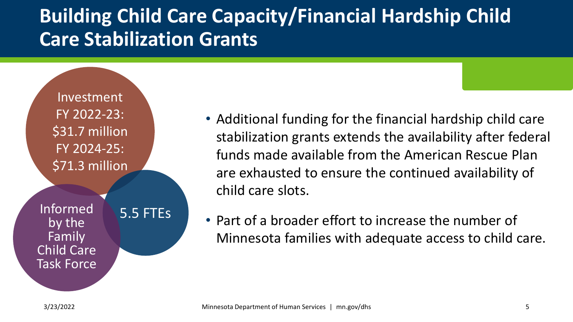## **Building Child Care Capacity/Financial Hardship Child Care Stabilization Grants**

Investment FY 2022-23: \$31.7 million FY 2024-25: \$71.3 million

Informed 5.5 FTEs by the Family Child Care Task Force

- Additional funding for the financial hardship child care stabilization grants extends the availability after federal funds made available from the American Rescue Plan are exhausted to ensure the continued availability of child care slots.
- Part of a broader effort to increase the number of Minnesota families with adequate access to child care.